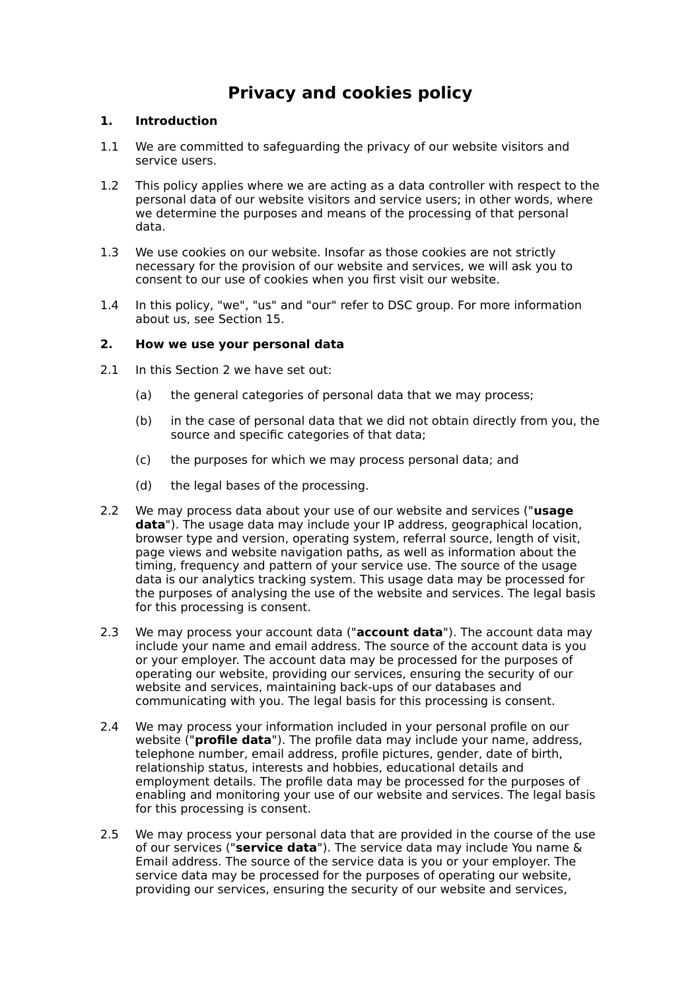# **Privacy and cookies policy**

## **1. Introduction**

- 1.1 We are committed to safeguarding the privacy of our website visitors and service users.
- 1.2 This policy applies where we are acting as a data controller with respect to the personal data of our website visitors and service users; in other words, where we determine the purposes and means of the processing of that personal data.
- 1.3 We use cookies on our website. Insofar as those cookies are not strictly necessary for the provision of our website and services, we will ask you to consent to our use of cookies when you first visit our website.
- 1.4 In this policy, "we", "us" and "our" refer to DSC group. For more information about us, see Section 15.

## **2. How we use your personal data**

- 2.1 In this Section 2 we have set out:
	- (a) the general categories of personal data that we may process;
	- (b) in the case of personal data that we did not obtain directly from you, the source and specific categories of that data;
	- (c) the purposes for which we may process personal data; and
	- (d) the legal bases of the processing.
- 2.2 We may process data about your use of our website and services ("**usage data**"). The usage data may include your IP address, geographical location, browser type and version, operating system, referral source, length of visit, page views and website navigation paths, as well as information about the timing, frequency and pattern of your service use. The source of the usage data is our analytics tracking system. This usage data may be processed for the purposes of analysing the use of the website and services. The legal basis for this processing is consent.
- 2.3 We may process your account data ("**account data**"). The account data may include your name and email address. The source of the account data is you or your employer. The account data may be processed for the purposes of operating our website, providing our services, ensuring the security of our website and services, maintaining back-ups of our databases and communicating with you. The legal basis for this processing is consent.
- 2.4 We may process your information included in your personal profile on our website ("**profile data**"). The profile data may include your name, address, telephone number, email address, profile pictures, gender, date of birth, relationship status, interests and hobbies, educational details and employment details. The profile data may be processed for the purposes of enabling and monitoring your use of our website and services. The legal basis for this processing is consent.
- 2.5 We may process your personal data that are provided in the course of the use of our services ("**service data**"). The service data may include You name & Email address. The source of the service data is you or your employer. The service data may be processed for the purposes of operating our website, providing our services, ensuring the security of our website and services,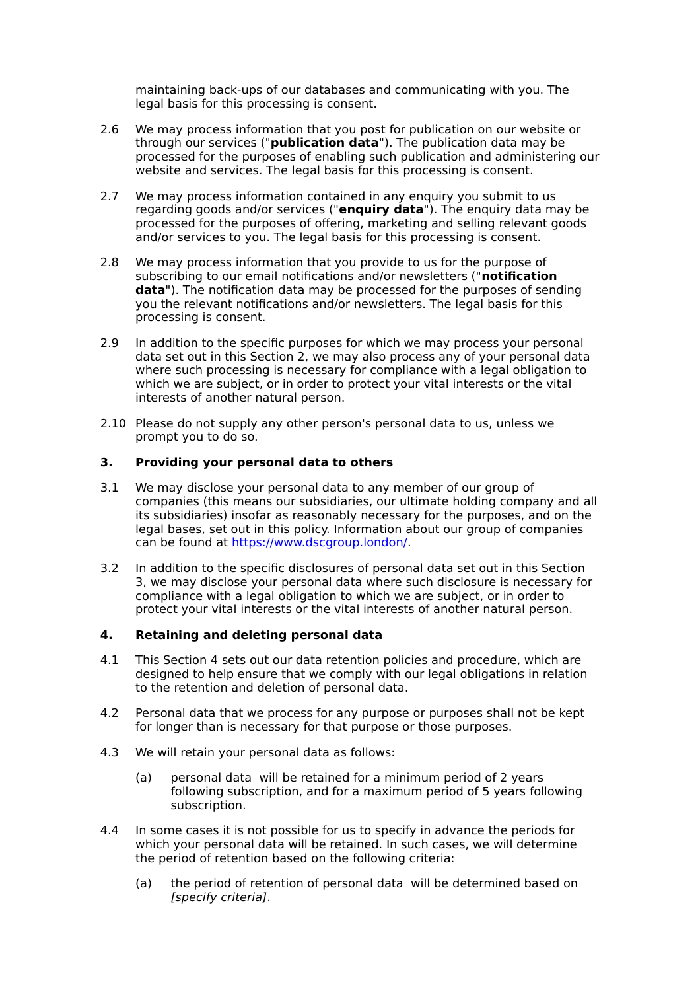maintaining back-ups of our databases and communicating with you. The legal basis for this processing is consent.

- 2.6 We may process information that you post for publication on our website or through our services ("**publication data**"). The publication data may be processed for the purposes of enabling such publication and administering our website and services. The legal basis for this processing is consent.
- 2.7 We may process information contained in any enquiry you submit to us regarding goods and/or services ("**enquiry data**"). The enquiry data may be processed for the purposes of offering, marketing and selling relevant goods and/or services to you. The legal basis for this processing is consent.
- 2.8 We may process information that you provide to us for the purpose of subscribing to our email notifications and/or newsletters ("**notification data**"). The notification data may be processed for the purposes of sending you the relevant notifications and/or newsletters. The legal basis for this processing is consent.
- 2.9 In addition to the specific purposes for which we may process your personal data set out in this Section 2, we may also process any of your personal data where such processing is necessary for compliance with a legal obligation to which we are subject, or in order to protect your vital interests or the vital interests of another natural person.
- 2.10 Please do not supply any other person's personal data to us, unless we prompt you to do so.

## **3. Providing your personal data to others**

- 3.1 We may disclose your personal data to any member of our group of companies (this means our subsidiaries, our ultimate holding company and all its subsidiaries) insofar as reasonably necessary for the purposes, and on the legal bases, set out in this policy. Information about our group of companies can be found at [https://www.dscgroup.london/.](https://www.dscgroup.london/)
- 3.2 In addition to the specific disclosures of personal data set out in this Section 3, we may disclose your personal data where such disclosure is necessary for compliance with a legal obligation to which we are subject, or in order to protect your vital interests or the vital interests of another natural person.

## **4. Retaining and deleting personal data**

- 4.1 This Section 4 sets out our data retention policies and procedure, which are designed to help ensure that we comply with our legal obligations in relation to the retention and deletion of personal data.
- 4.2 Personal data that we process for any purpose or purposes shall not be kept for longer than is necessary for that purpose or those purposes.
- 4.3 We will retain your personal data as follows:
	- (a) personal data will be retained for a minimum period of 2 years following subscription, and for a maximum period of 5 years following subscription.
- 4.4 In some cases it is not possible for us to specify in advance the periods for which your personal data will be retained. In such cases, we will determine the period of retention based on the following criteria:
	- (a) the period of retention of personal data will be determined based on [specify criteria].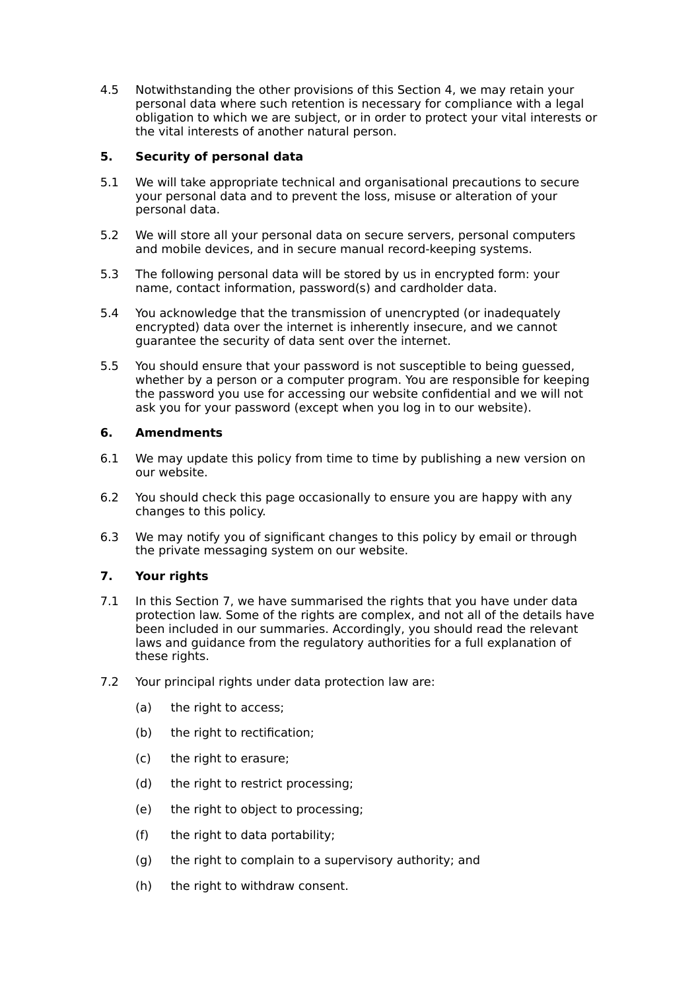4.5 Notwithstanding the other provisions of this Section 4, we may retain your personal data where such retention is necessary for compliance with a legal obligation to which we are subject, or in order to protect your vital interests or the vital interests of another natural person.

## **5. Security of personal data**

- 5.1 We will take appropriate technical and organisational precautions to secure your personal data and to prevent the loss, misuse or alteration of your personal data.
- 5.2 We will store all your personal data on secure servers, personal computers and mobile devices, and in secure manual record-keeping systems.
- 5.3 The following personal data will be stored by us in encrypted form: your name, contact information, password(s) and cardholder data.
- 5.4 You acknowledge that the transmission of unencrypted (or inadequately encrypted) data over the internet is inherently insecure, and we cannot guarantee the security of data sent over the internet.
- 5.5 You should ensure that your password is not susceptible to being guessed, whether by a person or a computer program. You are responsible for keeping the password you use for accessing our website confidential and we will not ask you for your password (except when you log in to our website).

## **6. Amendments**

- 6.1 We may update this policy from time to time by publishing a new version on our website.
- 6.2 You should check this page occasionally to ensure you are happy with any changes to this policy.
- 6.3 We may notify you of significant changes to this policy by email or through the private messaging system on our website.

# **7. Your rights**

- 7.1 In this Section 7, we have summarised the rights that you have under data protection law. Some of the rights are complex, and not all of the details have been included in our summaries. Accordingly, you should read the relevant laws and guidance from the regulatory authorities for a full explanation of these rights.
- 7.2 Your principal rights under data protection law are:
	- (a) the right to access:
	- (b) the right to rectification:
	- (c) the right to erasure;
	- (d) the right to restrict processing;
	- (e) the right to object to processing;
	- (f) the right to data portability;
	- (g) the right to complain to a supervisory authority; and
	- (h) the right to withdraw consent.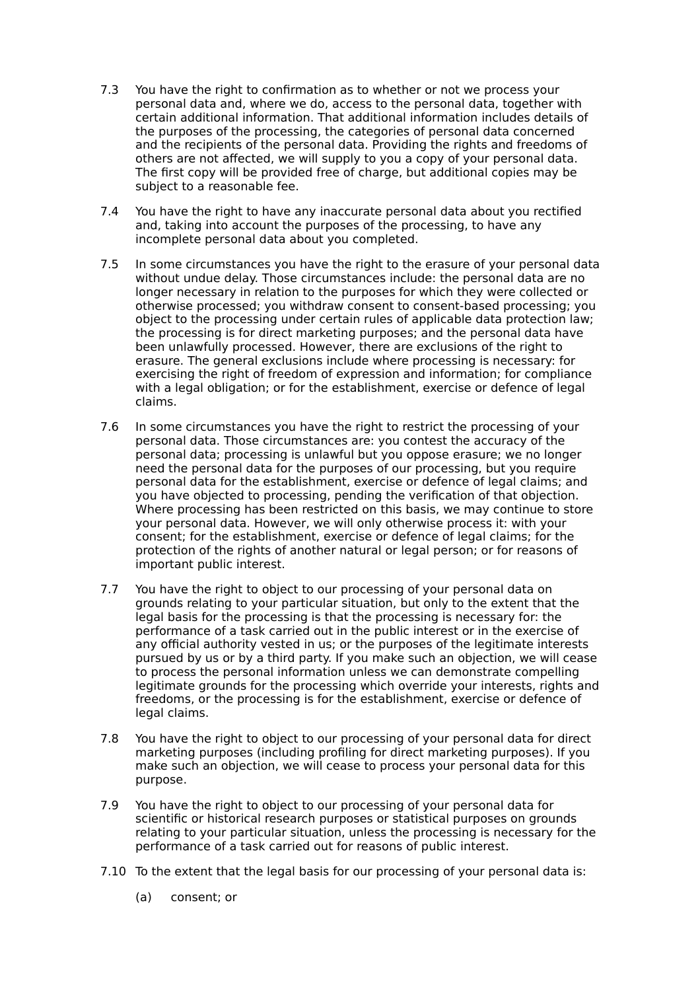- 7.3 You have the right to confirmation as to whether or not we process your personal data and, where we do, access to the personal data, together with certain additional information. That additional information includes details of the purposes of the processing, the categories of personal data concerned and the recipients of the personal data. Providing the rights and freedoms of others are not affected, we will supply to you a copy of your personal data. The first copy will be provided free of charge, but additional copies may be subject to a reasonable fee.
- 7.4 You have the right to have any inaccurate personal data about you rectified and, taking into account the purposes of the processing, to have any incomplete personal data about you completed.
- 7.5 In some circumstances you have the right to the erasure of your personal data without undue delay. Those circumstances include: the personal data are no longer necessary in relation to the purposes for which they were collected or otherwise processed; you withdraw consent to consent-based processing; you object to the processing under certain rules of applicable data protection law; the processing is for direct marketing purposes; and the personal data have been unlawfully processed. However, there are exclusions of the right to erasure. The general exclusions include where processing is necessary: for exercising the right of freedom of expression and information; for compliance with a legal obligation; or for the establishment, exercise or defence of legal claims.
- 7.6 In some circumstances you have the right to restrict the processing of your personal data. Those circumstances are: you contest the accuracy of the personal data; processing is unlawful but you oppose erasure; we no longer need the personal data for the purposes of our processing, but you require personal data for the establishment, exercise or defence of legal claims; and you have objected to processing, pending the verification of that objection. Where processing has been restricted on this basis, we may continue to store your personal data. However, we will only otherwise process it: with your consent; for the establishment, exercise or defence of legal claims; for the protection of the rights of another natural or legal person; or for reasons of important public interest.
- 7.7 You have the right to object to our processing of your personal data on grounds relating to your particular situation, but only to the extent that the legal basis for the processing is that the processing is necessary for: the performance of a task carried out in the public interest or in the exercise of any official authority vested in us; or the purposes of the legitimate interests pursued by us or by a third party. If you make such an objection, we will cease to process the personal information unless we can demonstrate compelling legitimate grounds for the processing which override your interests, rights and freedoms, or the processing is for the establishment, exercise or defence of legal claims.
- 7.8 You have the right to object to our processing of your personal data for direct marketing purposes (including profiling for direct marketing purposes). If you make such an objection, we will cease to process your personal data for this purpose.
- 7.9 You have the right to object to our processing of your personal data for scientific or historical research purposes or statistical purposes on grounds relating to your particular situation, unless the processing is necessary for the performance of a task carried out for reasons of public interest.
- 7.10 To the extent that the legal basis for our processing of your personal data is:
	- (a) consent; or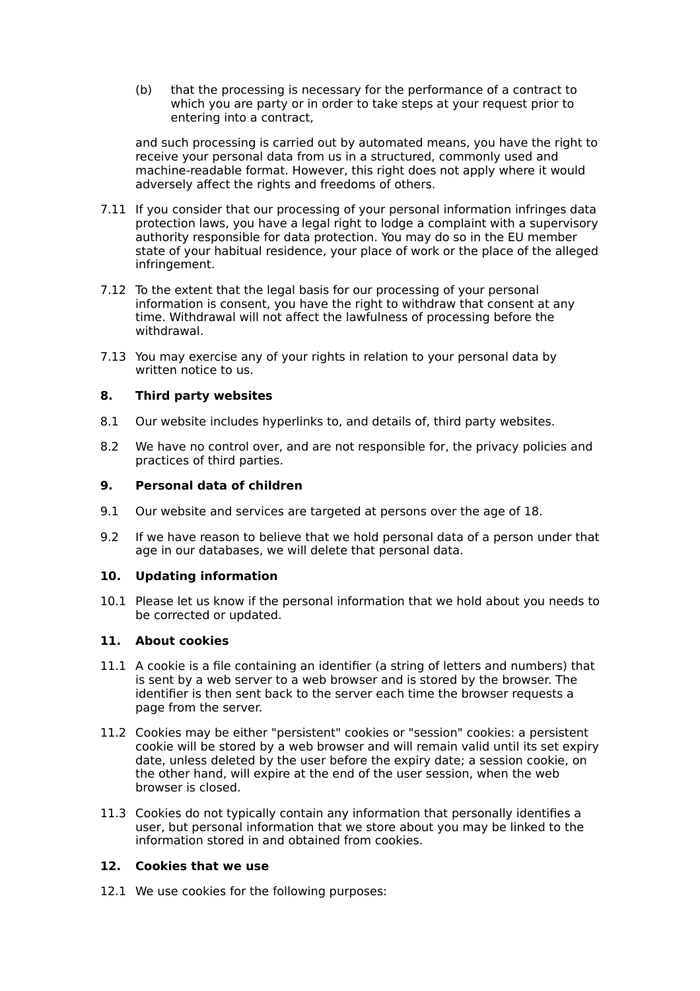(b) that the processing is necessary for the performance of a contract to which you are party or in order to take steps at your request prior to entering into a contract,

and such processing is carried out by automated means, you have the right to receive your personal data from us in a structured, commonly used and machine-readable format. However, this right does not apply where it would adversely affect the rights and freedoms of others.

- 7.11 If you consider that our processing of your personal information infringes data protection laws, you have a legal right to lodge a complaint with a supervisory authority responsible for data protection. You may do so in the EU member state of your habitual residence, your place of work or the place of the alleged infringement.
- 7.12 To the extent that the legal basis for our processing of your personal information is consent, you have the right to withdraw that consent at any time. Withdrawal will not affect the lawfulness of processing before the withdrawal.
- 7.13 You may exercise any of your rights in relation to your personal data by written notice to us.

## **8. Third party websites**

- 8.1 Our website includes hyperlinks to, and details of, third party websites.
- 8.2 We have no control over, and are not responsible for, the privacy policies and practices of third parties.

## **9. Personal data of children**

- 9.1 Our website and services are targeted at persons over the age of 18.
- 9.2 If we have reason to believe that we hold personal data of a person under that age in our databases, we will delete that personal data.

## **10. Updating information**

10.1 Please let us know if the personal information that we hold about you needs to be corrected or updated.

## **11. About cookies**

- 11.1 A cookie is a file containing an identifier (a string of letters and numbers) that is sent by a web server to a web browser and is stored by the browser. The identifier is then sent back to the server each time the browser requests a page from the server.
- 11.2 Cookies may be either "persistent" cookies or "session" cookies: a persistent cookie will be stored by a web browser and will remain valid until its set expiry date, unless deleted by the user before the expiry date; a session cookie, on the other hand, will expire at the end of the user session, when the web browser is closed.
- 11.3 Cookies do not typically contain any information that personally identifies a user, but personal information that we store about you may be linked to the information stored in and obtained from cookies.

## **12. Cookies that we use**

12.1 We use cookies for the following purposes: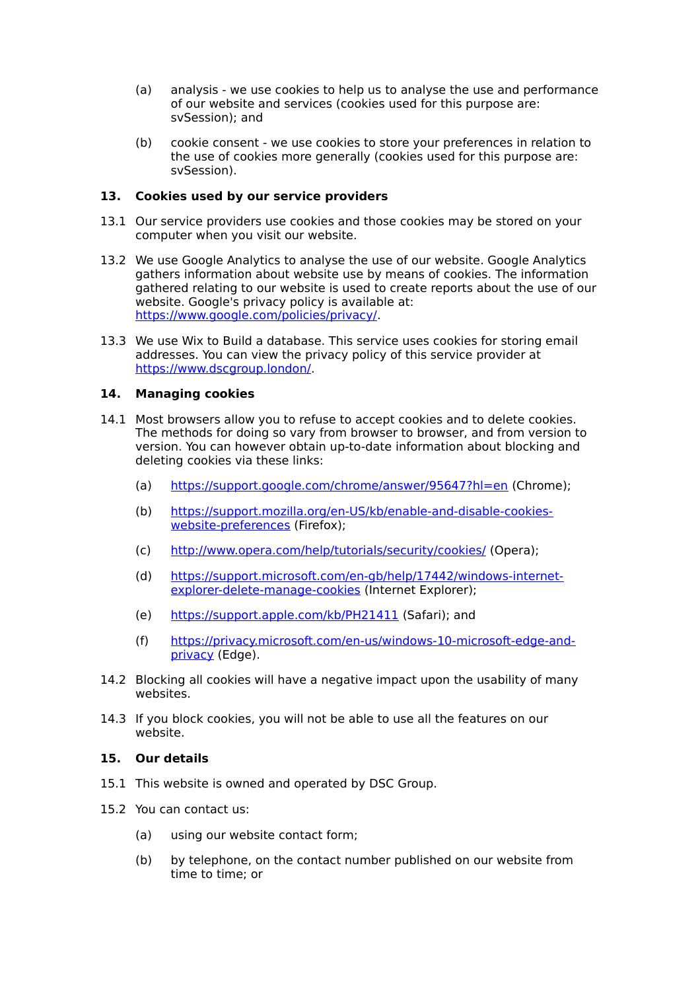- (a) analysis we use cookies to help us to analyse the use and performance of our website and services (cookies used for this purpose are: svSession); and
- (b) cookie consent we use cookies to store your preferences in relation to the use of cookies more generally (cookies used for this purpose are: svSession).

## **13. Cookies used by our service providers**

- 13.1 Our service providers use cookies and those cookies may be stored on your computer when you visit our website.
- 13.2 We use Google Analytics to analyse the use of our website. Google Analytics gathers information about website use by means of cookies. The information gathered relating to our website is used to create reports about the use of our website. Google's privacy policy is available at: [https://www.google.com/policies/privacy/.](https://www.google.com/policies/privacy/)
- 13.3 We use Wix to Build a database. This service uses cookies for storing email addresses. You can view the privacy policy of this service provider at [https://www.dscgroup.london/.](https://www.dscgroup.london/)

## **14. Managing cookies**

- 14.1 Most browsers allow you to refuse to accept cookies and to delete cookies. The methods for doing so vary from browser to browser, and from version to version. You can however obtain up-to-date information about blocking and deleting cookies via these links:
	- (a) <https://support.google.com/chrome/answer/95647?hl=en>(Chrome);
	- (b) [https://support.mozilla.org/en-US/kb/enable-and-disable-cookies](https://support.mozilla.org/en-US/kb/enable-and-disable-cookies-website-preferences)[website-preferences](https://support.mozilla.org/en-US/kb/enable-and-disable-cookies-website-preferences) (Firefox);
	- (c) <http://www.opera.com/help/tutorials/security/cookies/>(Opera);
	- (d) [https://support.microsoft.com/en-gb/help/17442/windows-internet](https://support.microsoft.com/en-gb/help/17442/windows-internet-explorer-delete-manage-cookies)[explorer-delete-manage-cookies](https://support.microsoft.com/en-gb/help/17442/windows-internet-explorer-delete-manage-cookies) (Internet Explorer);
	- (e) <https://support.apple.com/kb/PH21411>(Safari); and
	- (f) [https://privacy.microsoft.com/en-us/windows-10-microsoft-edge-and](https://privacy.microsoft.com/en-us/windows-10-microsoft-edge-and-privacy)[privacy](https://privacy.microsoft.com/en-us/windows-10-microsoft-edge-and-privacy) (Edge).
- 14.2 Blocking all cookies will have a negative impact upon the usability of many websites.
- 14.3 If you block cookies, you will not be able to use all the features on our website.

## **15. Our details**

- 15.1 This website is owned and operated by DSC Group.
- 15.2 You can contact us:
	- (a) using our website contact form;
	- (b) by telephone, on the contact number published on our website from time to time; or